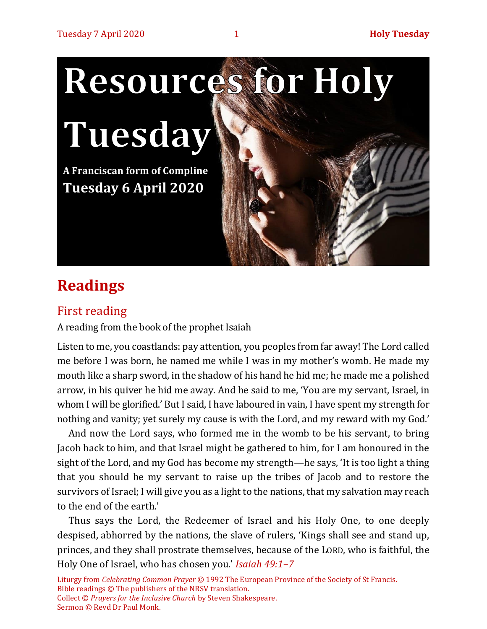# **Resources for Holy** Tuesday **A Franciscan form of Compline Tuesday 6 April 2020**

# **Readings**

# First reading

A reading from the book of the prophet Isaiah

Listen to me, you coastlands: pay attention, you peoples from far away! The Lord called me before I was born, he named me while I was in my mother's womb. He made my mouth like a sharp sword, in the shadow of his hand he hid me; he made me a polished arrow, in his quiver he hid me away. And he said to me, 'You are my servant, Israel, in whom I will be glorified.' But I said, I have laboured in vain, I have spent my strength for nothing and vanity; yet surely my cause is with the Lord, and my reward with my God.'

And now the Lord says, who formed me in the womb to be his servant, to bring Jacob back to him, and that Israel might be gathered to him, for I am honoured in the sight of the Lord, and my God has become my strength—he says, 'It is too light a thing that you should be my servant to raise up the tribes of Jacob and to restore the survivors of Israel; I will give you as a light to the nations, that my salvation may reach to the end of the earth.'

Thus says the Lord, the Redeemer of Israel and his Holy One, to one deeply despised, abhorred by the nations, the slave of rulers, 'Kings shall see and stand up, princes, and they shall prostrate themselves, because of the LORD, who is faithful, the Holy One of Israel, who has chosen you.' *Isaiah 49:1–7*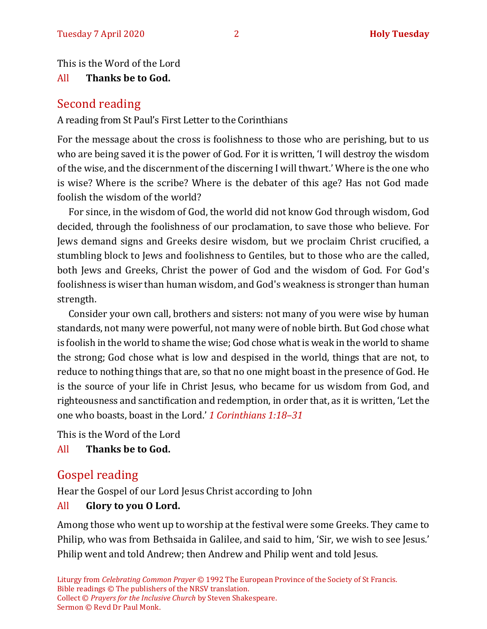This is the Word of the Lord

All **Thanks be to God.**

# Second reading

A reading from St Paul's First Letter to the Corinthians

For the message about the cross is foolishness to those who are perishing, but to us who are being saved it is the power of God. For it is written, 'I will destroy the wisdom of the wise, and the discernment of the discerning I will thwart.' Where is the one who is wise? Where is the scribe? Where is the debater of this age? Has not God made foolish the wisdom of the world?

For since, in the wisdom of God, the world did not know God through wisdom, God decided, through the foolishness of our proclamation, to save those who believe. For Jews demand signs and Greeks desire wisdom, but we proclaim Christ crucified, a stumbling block to Jews and foolishness to Gentiles, but to those who are the called, both Jews and Greeks, Christ the power of God and the wisdom of God. For God's foolishness is wiser than human wisdom, and God's weakness is stronger than human strength.

Consider your own call, brothers and sisters: not many of you were wise by human standards, not many were powerful, not many were of noble birth. But God chose what is foolish in the world to shame the wise; God chose what is weak in the world to shame the strong; God chose what is low and despised in the world, things that are not, to reduce to nothing things that are, so that no one might boast in the presence of God. He is the source of your life in Christ Jesus, who became for us wisdom from God, and righteousness and sanctification and redemption, in order that, as it is written, 'Let the one who boasts, boast in the Lord.' *1 Corinthians 1:18–31*

This is the Word of the Lord

All **Thanks be to God.**

# Gospel reading

Hear the Gospel of our Lord Jesus Christ according to John

# All **Glory to you O Lord.**

Among those who went up to worship at the festival were some Greeks. They came to Philip, who was from Bethsaida in Galilee, and said to him, 'Sir, we wish to see Jesus.' Philip went and told Andrew; then Andrew and Philip went and told Jesus.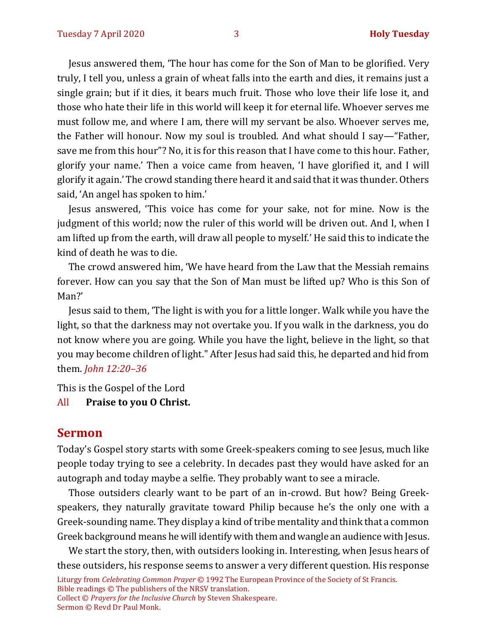Jesus answered them, 'The hour has come for the Son of Man to be glorified. Very truly, I tell you, unless a grain of wheat falls into the earth and dies, it remains just a single grain; but if it dies, it bears much fruit. Those who love their life lose it, and those who hate their life in this world will keep it for eternal life. Whoever serves me must follow me, and where I am, there will my servant be also. Whoever serves me, the Father will honour. Now my soul is troubled. And what should I say—"Father, save me from this hour"? No, it is for this reason that I have come to this hour. Father, glorify your name.' Then a voice came from heaven, 'I have glorified it, and I will glorify it again.' The crowd standing there heard it and said that it was thunder. Others said, 'An angel has spoken to him.'

Jesus answered, 'This voice has come for your sake, not for mine. Now is the judgment of this world; now the ruler of this world will be driven out. And I, when I am lifted up from the earth, will draw all people to myself.' He said this to indicate the kind of death he was to die.

The crowd answered him, 'We have heard from the Law that the Messiah remains forever. How can you say that the Son of Man must be lifted up? Who is this Son of Man?'

Jesus said to them, 'The light is with you for a little longer. Walk while you have the light, so that the darkness may not overtake you. If you walk in the darkness, you do not know where you are going. While you have the light, believe in the light, so that you may become children of light." After Jesus had said this, he departed and hid from them. *John 12:20–36*

This is the Gospel of the Lord

#### All **Praise to you O Christ.**

#### **Sermon**

Today's Gospel story starts with some Greek-speakers coming to see Jesus, much like people today trying to see a celebrity. In decades past they would have asked for an autograph and today maybe a selfie. They probably want to see a miracle.

Those outsiders clearly want to be part of an in-crowd. But how? Being Greekspeakers, they naturally gravitate toward Philip because he's the only one with a Greek-sounding name. They display a kind of tribe mentality and think that a common Greek background means he will identify with them and wangle an audience with Jesus.

We start the story, then, with outsiders looking in. Interesting, when Jesus hears of these outsiders, his response seems to answer a very different question. His response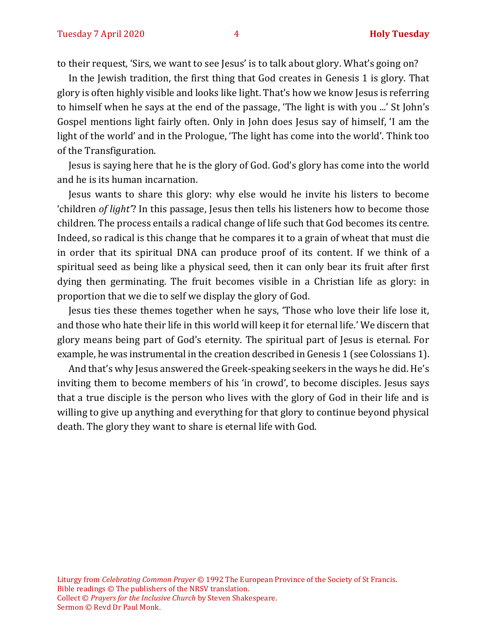to their request, 'Sirs, we want to see Jesus' is to talk about glory. What's going on?

In the Jewish tradition, the first thing that God creates in Genesis 1 is glory. That glory is often highly visible and looks like light. That's how we know Jesus is referring to himself when he says at the end of the passage, 'The light is with you ...' St John's Gospel mentions light fairly often. Only in John does Jesus say of himself, 'I am the light of the world' and in the Prologue, 'The light has come into the world'. Think too of the Transfiguration.

Jesus is saying here that he is the glory of God. God's glory has come into the world and he is its human incarnation.

Jesus wants to share this glory: why else would he invite his listers to become 'children *of light'*? In this passage, Jesus then tells his listeners how to become those children. The process entails a radical change of life such that God becomes its centre. Indeed, so radical is this change that he compares it to a grain of wheat that must die in order that its spiritual DNA can produce proof of its content. If we think of a spiritual seed as being like a physical seed, then it can only bear its fruit after first dying then germinating. The fruit becomes visible in a Christian life as glory: in proportion that we die to self we display the glory of God.

Jesus ties these themes together when he says, 'Those who love their life lose it, and those who hate their life in this world will keep it for eternal life.' We discern that glory means being part of God's eternity. The spiritual part of Jesus is eternal. For example, he was instrumental in the creation described in Genesis 1 (see Colossians 1).

And that's why Jesus answered the Greek-speaking seekers in the ways he did. He's inviting them to become members of his 'in crowd', to become disciples. Jesus says that a true disciple is the person who lives with the glory of God in their life and is willing to give up anything and everything for that glory to continue beyond physical death. The glory they want to share is eternal life with God.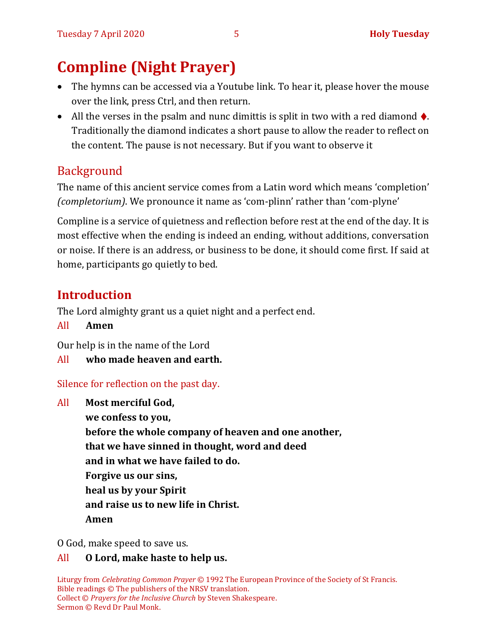# **Compline (Night Prayer)**

- The hymns can be accessed via a Youtube link. To hear it, please hover the mouse over the link, press Ctrl, and then return.
- All the verses in the psalm and nunc dimittis is split in two with a red diamond  $\blacklozenge$ . Traditionally the diamond indicates a short pause to allow the reader to reflect on the content. The pause is not necessary. But if you want to observe it

# Background

The name of this ancient service comes from a Latin word which means 'completion' *(completorium)*. We pronounce it name as 'com-plinn' rather than 'com-plyne'

Compline is a service of quietness and reflection before rest at the end of the day. It is most effective when the ending is indeed an ending, without additions, conversation or noise. If there is an address, or business to be done, it should come first. If said at home, participants go quietly to bed.

# **Introduction**

The Lord almighty grant us a quiet night and a perfect end.

All **Amen**

Our help is in the name of the Lord

All **who made heaven and earth.**

Silence for reflection on the past day.

All **Most merciful God,**

**we confess to you, before the whole company of heaven and one another, that we have sinned in thought, word and deed and in what we have failed to do. Forgive us our sins, heal us by your Spirit and raise us to new life in Christ. Amen**

O God, make speed to save us.

# All **O Lord, make haste to help us.**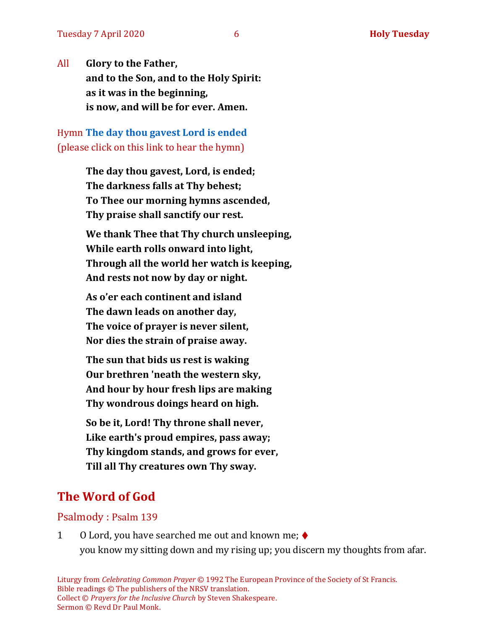All **Glory to the Father, and to the Son, and to the Holy Spirit: as it was in the beginning, is now, and will be for ever. Amen.** 

### Hymn **[The day thou gavest Lord is ended](https://www.youtube.com/watch?v=eeC6M_RD3oE)** (please click on this link to hear the hymn)

**The day thou gavest, Lord, is ended; The darkness falls at Thy behest; To Thee our morning hymns ascended, Thy praise shall sanctify our rest.**

**We thank Thee that Thy church unsleeping, While earth rolls onward into light, Through all the world her watch is keeping, And rests not now by day or night.**

**As o'er each continent and island The dawn leads on another day, The voice of prayer is never silent, Nor dies the strain of praise away.**

**The sun that bids us rest is waking Our brethren 'neath the western sky, And hour by hour fresh lips are making Thy wondrous doings heard on high.**

**So be it, Lord! Thy throne shall never, Like earth's proud empires, pass away; Thy kingdom stands, and grows for ever, Till all Thy creatures own Thy sway.**

# **The Word of God**

#### Psalmody : Psalm 139

1 O Lord, you have searched me out and known me; ♦ you know my sitting down and my rising up; you discern my thoughts from afar.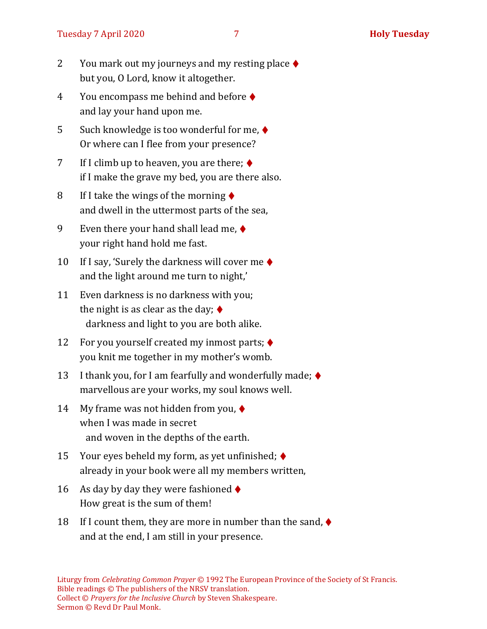- 2 You mark out my journeys and my resting place  $\triangle$ but you, O Lord, know it altogether.
- 4 You encompass me behind and before ♦ and lay your hand upon me.
- 5 Such knowledge is too wonderful for me, ♦ Or where can I flee from your presence?
- 7 If I climb up to heaven, you are there;  $\blacklozenge$ if I make the grave my bed, you are there also.
- 8 If I take the wings of the morning  $\blacklozenge$ and dwell in the uttermost parts of the sea,
- 9 Even there your hand shall lead me,  $\blacklozenge$ your right hand hold me fast.
- 10 If I say, 'Surely the darkness will cover me  $\blacklozenge$ and the light around me turn to night,'
- 11 Even darkness is no darkness with you; the night is as clear as the day;  $\blacklozenge$ darkness and light to you are both alike.
- 12 For you yourself created my inmost parts;  $\blacklozenge$ you knit me together in my mother's womb.
- 13 I thank you, for I am fearfully and wonderfully made;  $\blacklozenge$ marvellous are your works, my soul knows well.
- 14 My frame was not hidden from you, ♦ when I was made in secret and woven in the depths of the earth.
- 15 Your eyes beheld my form, as yet unfinished;  $\blacklozenge$ already in your book were all my members written,
- 16 As day by day they were fashioned  $\blacklozenge$ How great is the sum of them!
- 18 If I count them, they are more in number than the sand,  $\blacklozenge$ and at the end, I am still in your presence.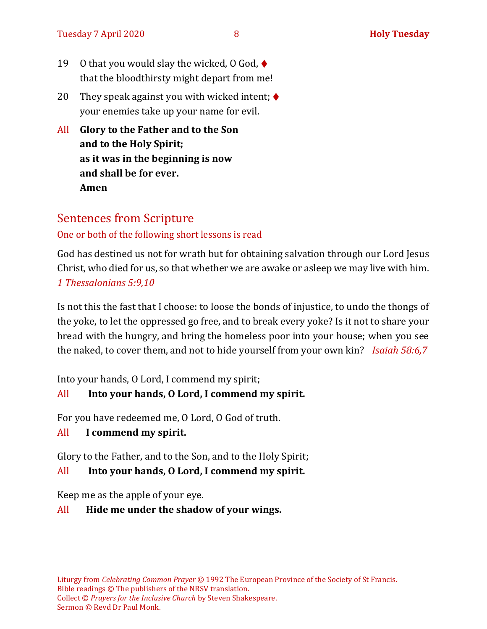- 19 O that you would slay the wicked,  $0$  God,  $\blacklozenge$ that the bloodthirsty might depart from me!
- 20 They speak against you with wicked intent;  $\triangleleft$ your enemies take up your name for evil.
- All **Glory to the Father and to the Son and to the Holy Spirit; as it was in the beginning is now and shall be for ever. Amen**

# Sentences from Scripture

### One or both of the following short lessons is read

God has destined us not for wrath but for obtaining salvation through our Lord Jesus Christ, who died for us, so that whether we are awake or asleep we may live with him. *1 Thessalonians 5:9,10* 

Is not this the fast that I choose: to loose the bonds of injustice, to undo the thongs of the yoke, to let the oppressed go free, and to break every yoke? Is it not to share your bread with the hungry, and bring the homeless poor into your house; when you see the naked, to cover them, and not to hide yourself from your own kin? *Isaiah 58:6,7*

Into your hands, O Lord, I commend my spirit;

# All **Into your hands, O Lord, I commend my spirit.**

For you have redeemed me, O Lord, O God of truth.

### All **I commend my spirit.**

Glory to the Father, and to the Son, and to the Holy Spirit;

### All **Into your hands, O Lord, I commend my spirit.**

Keep me as the apple of your eye.

### All **Hide me under the shadow of your wings.**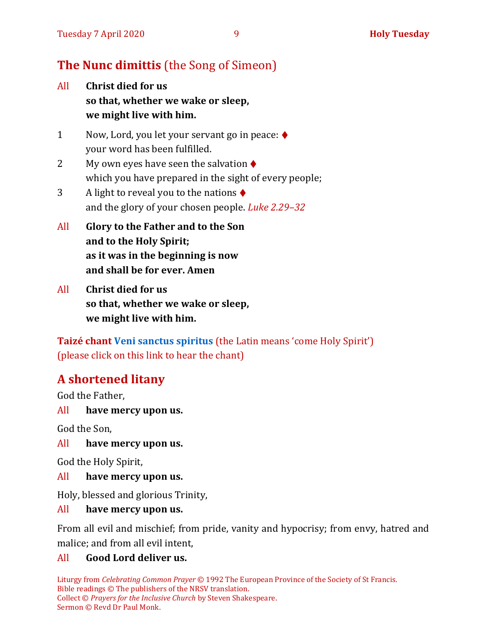# **The Nunc dimittis** (the Song of Simeon)

- All **Christ died for us so that, whether we wake or sleep, we might live with him.**
- 1 Now, Lord, you let your servant go in peace: ♦ your word has been fulfilled.
- 2 My own eyes have seen the salvation  $\triangle$ which you have prepared in the sight of every people;
- 3 A light to reveal you to the nations  $\triangle$ and the glory of your chosen people. *Luke 2.29–32*
- All **Glory to the Father and to the Son and to the Holy Spirit; as it was in the beginning is now and shall be for ever. Amen**
- All **Christ died for us so that, whether we wake or sleep, we might live with him.**

**Taizé chant [Veni sanctus spiritus](https://www.youtube.com/watch?v=Z1fR4SV55qg)** (the Latin means 'come Holy Spirit') (please click on this link to hear the chant)

# **A shortened litany**

God the Father,

All **have mercy upon us.**

God the Son,

All **have mercy upon us.**

God the Holy Spirit,

All **have mercy upon us.**

Holy, blessed and glorious Trinity,

### All **have mercy upon us.**

From all evil and mischief; from pride, vanity and hypocrisy; from envy, hatred and malice; and from all evil intent,

### All **Good Lord deliver us.**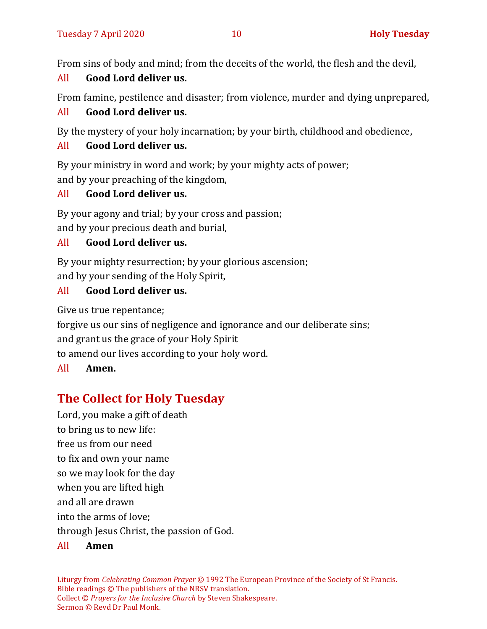From sins of body and mind; from the deceits of the world, the flesh and the devil,

# All **Good Lord deliver us.**

From famine, pestilence and disaster; from violence, murder and dying unprepared,

# All **Good Lord deliver us.**

By the mystery of your holy incarnation; by your birth, childhood and obedience,

### All **Good Lord deliver us.**

By your ministry in word and work; by your mighty acts of power; and by your preaching of the kingdom,

### All **Good Lord deliver us.**

By your agony and trial; by your cross and passion; and by your precious death and burial,

### All **Good Lord deliver us.**

By your mighty resurrection; by your glorious ascension;

and by your sending of the Holy Spirit,

### All **Good Lord deliver us.**

Give us true repentance;

forgive us our sins of negligence and ignorance and our deliberate sins;

and grant us the grace of your Holy Spirit

to amend our lives according to your holy word.

All **Amen.**

# **The Collect for Holy Tuesday**

Lord, you make a gift of death to bring us to new life: free us from our need to fix and own your name so we may look for the day when you are lifted high and all are drawn into the arms of love; through Jesus Christ, the passion of God.

### All **Amen**